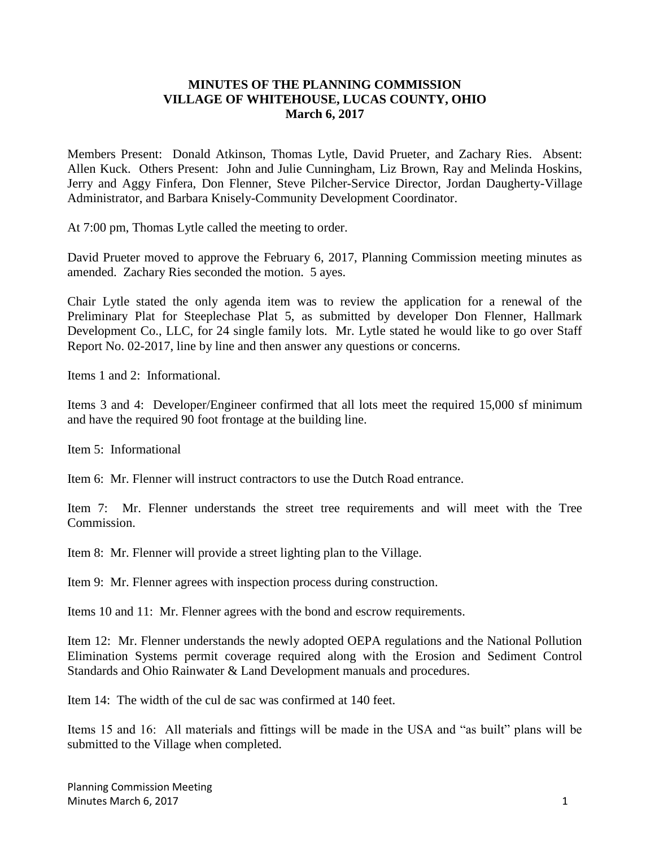## **MINUTES OF THE PLANNING COMMISSION VILLAGE OF WHITEHOUSE, LUCAS COUNTY, OHIO March 6, 2017**

Members Present: Donald Atkinson, Thomas Lytle, David Prueter, and Zachary Ries. Absent: Allen Kuck. Others Present: John and Julie Cunningham, Liz Brown, Ray and Melinda Hoskins, Jerry and Aggy Finfera, Don Flenner, Steve Pilcher-Service Director, Jordan Daugherty-Village Administrator, and Barbara Knisely-Community Development Coordinator.

At 7:00 pm, Thomas Lytle called the meeting to order.

David Prueter moved to approve the February 6, 2017, Planning Commission meeting minutes as amended. Zachary Ries seconded the motion. 5 ayes.

Chair Lytle stated the only agenda item was to review the application for a renewal of the Preliminary Plat for Steeplechase Plat 5, as submitted by developer Don Flenner, Hallmark Development Co., LLC, for 24 single family lots. Mr. Lytle stated he would like to go over Staff Report No. 02-2017, line by line and then answer any questions or concerns.

Items 1 and 2: Informational.

Items 3 and 4: Developer/Engineer confirmed that all lots meet the required 15,000 sf minimum and have the required 90 foot frontage at the building line.

Item 5: Informational

Item 6: Mr. Flenner will instruct contractors to use the Dutch Road entrance.

Item 7: Mr. Flenner understands the street tree requirements and will meet with the Tree Commission.

Item 8: Mr. Flenner will provide a street lighting plan to the Village.

Item 9: Mr. Flenner agrees with inspection process during construction.

Items 10 and 11: Mr. Flenner agrees with the bond and escrow requirements.

Item 12: Mr. Flenner understands the newly adopted OEPA regulations and the National Pollution Elimination Systems permit coverage required along with the Erosion and Sediment Control Standards and Ohio Rainwater & Land Development manuals and procedures.

Item 14: The width of the cul de sac was confirmed at 140 feet.

Items 15 and 16: All materials and fittings will be made in the USA and "as built" plans will be submitted to the Village when completed.